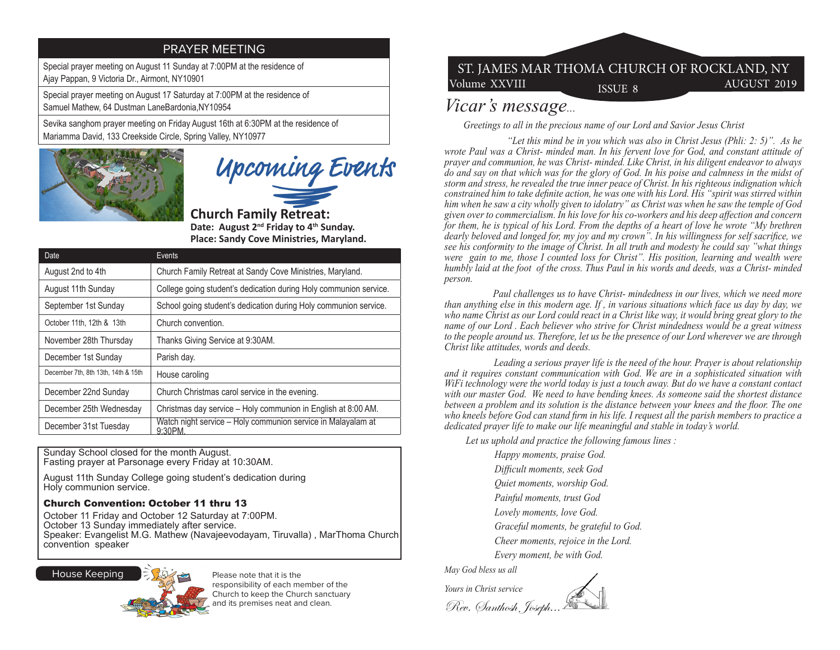### PRAYER MEETING

Special prayer meeting on August 11 Sunday at 7:00PM at the residence of Ajay Pappan, 9 Victoria Dr., Airmont, NY10901

Special prayer meeting on August 17 Saturday at 7:00PM at the residence of Samuel Mathew, 64 Dustman LaneBardonia,NY10954

Sevika sanghom prayer meeting on Friday August 16th at 6:30PM at the residence of Mariamma David, 133 Creekside Circle, Spring Valley, NY10977



Upcoming Events

**Church Family Retreat: Date: August 2nd Friday to 4th Sunday. Place: Sandy Cove Ministries, Maryland.**

| Date                                | Events                                                                 |
|-------------------------------------|------------------------------------------------------------------------|
| August 2nd to 4th                   | Church Family Retreat at Sandy Cove Ministries, Maryland.              |
| August 11th Sunday                  | College going student's dedication during Holy communion service.      |
| September 1st Sunday                | School going student's dedication during Holy communion service.       |
| October 11th, 12th & 13th           | Church convention.                                                     |
| November 28th Thursday              | Thanks Giving Service at 9:30AM.                                       |
| December 1st Sunday                 | Parish day.                                                            |
| December 7th, 8th 13th, 14th & 15th | House caroling                                                         |
| December 22nd Sunday                | Church Christmas carol service in the evening.                         |
| December 25th Wednesday             | Christmas day service - Holy communion in English at 8:00 AM.          |
| December 31st Tuesday               | Watch night service – Holy communion service in Malayalam at<br>9:30PM |

Sunday School closed for the month August. Fasting prayer at Parsonage every Friday at 10:30AM.

August 11th Sunday College going student's dedication during Holy communion service.

#### Church Convention: October 11 thru 13

October 11 Friday and October 12 Saturday at 7:00PM. October 13 Sunday immediately after service. Speaker: Evangelist M.G. Mathew (Navajeevodayam, Tiruvalla) , MarThoma Church convention speaker



Please note that it is the responsibility of each member of the Church to keep the Church sanctuary and its premises neat and clean.

# Volume XXVIII ISSUE 8 AUGUST 2019 ST. JAMES MAR THOMA CHURCH OF ROCKLAND, NY

## *Vicar's message...*

 *Greetings to all in the precious name of our Lord and Savior Jesus Christ* 

 *"Let this mind be in you which was also in Christ Jesus (Phli: 2: 5)". As he wrote Paul was a Christ- minded man. In his fervent love for God, and constant attitude of prayer and communion, he was Christ- minded. Like Christ, in his diligent endeavor to always do and say on that which was for the glory of God. In his poise and calmness in the midst of storm and stress, he revealed the true inner peace of Christ. In his righteous indignation which constrained him to take definite action, he was one with his Lord. His "spirit was stirred within him when he saw a city wholly given to idolatry" as Christ was when he saw the temple of God given over to commercialism. In his love for his co-workers and his deep affection and concern for them, he is typical of his Lord. From the depths of a heart of love he wrote "My brethren dearly beloved and longed for, my joy and my crown". In his willingness for self sacrifice, we see his conformity to the image of Christ. In all truth and modesty he could say "what things were gain to me, those I counted loss for Christ". His position, learning and wealth were humbly laid at the foot of the cross. Thus Paul in his words and deeds, was a Christ- minded person.* 

 *Paul challenges us to have Christ- mindedness in our lives, which we need more than anything else in this modern age. If , in various situations which face us day by day, we who name Christ as our Lord could react in a Christ like way, it would bring great glory to the name of our Lord . Each believer who strive for Christ mindedness would be a great witness to the people around us. Therefore, let us be the presence of our Lord wherever we are through Christ like attitudes, words and deeds.* 

 *Leading a serious prayer life is the need of the hour. Prayer is about relationship and it requires constant communication with God. We are in a sophisticated situation with WiFi technology were the world today is just a touch away. But do we have a constant contact with our master God. We need to have bending knees. As someone said the shortest distance between a problem and its solution is the distance between your knees and the floor. The one who kneels before God can stand firm in his life. I request all the parish members to practice a dedicated prayer life to make our life meaningful and stable in today's world.* 

 *Let us uphold and practice the following famous lines :* 

 *Happy moments, praise God. Difficult moments, seek God Quiet moments, worship God. Painful moments, trust God Lovely moments, love God. Graceful moments, be grateful to God. Cheer moments, rejoice in the Lord. Every moment, be with God.* 

*May God bless us all*

*Yours in Christ service* Rev. Santhosh Joseph...